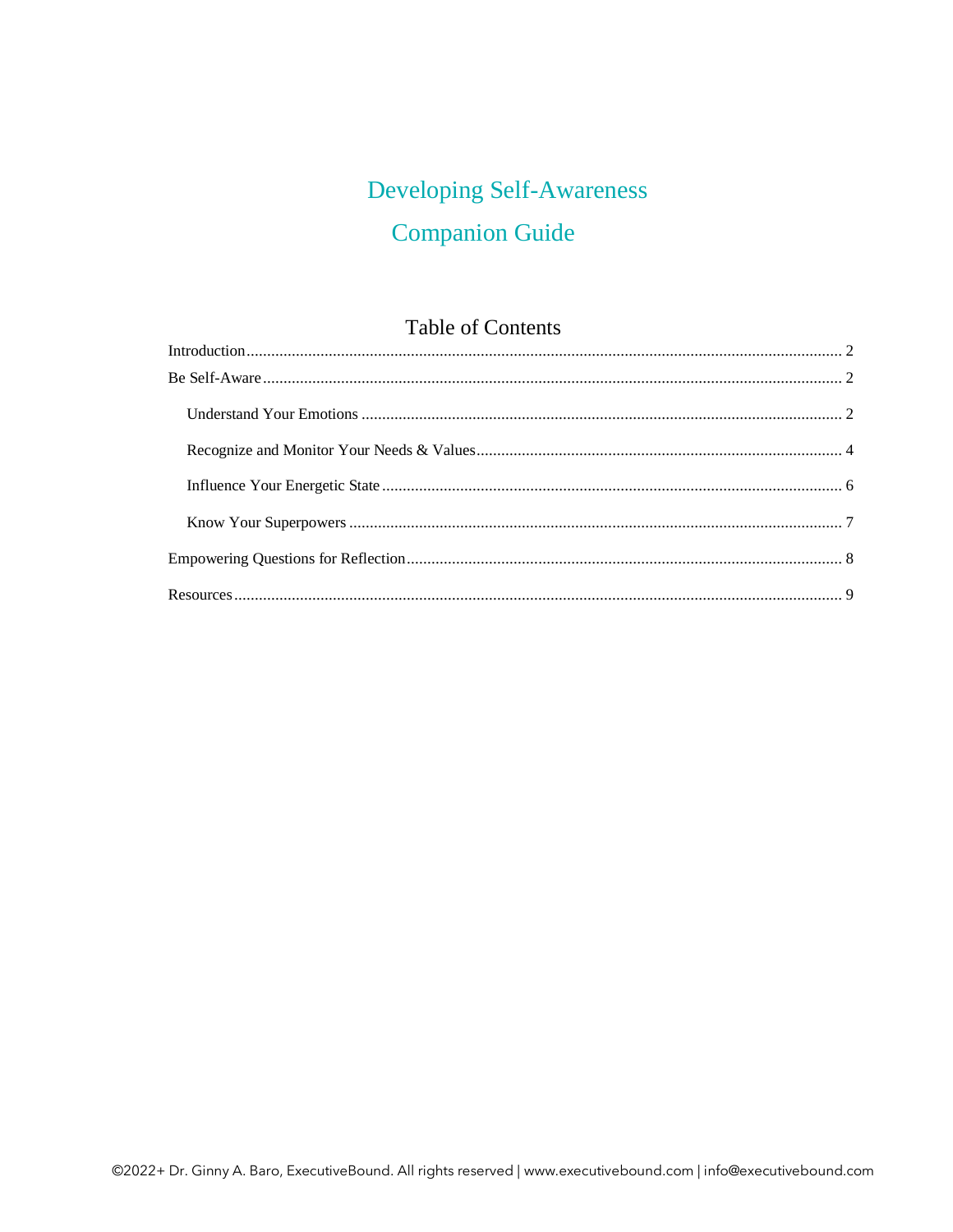# **Developing Self-Awareness Companion Guide**

## **Table of Contents**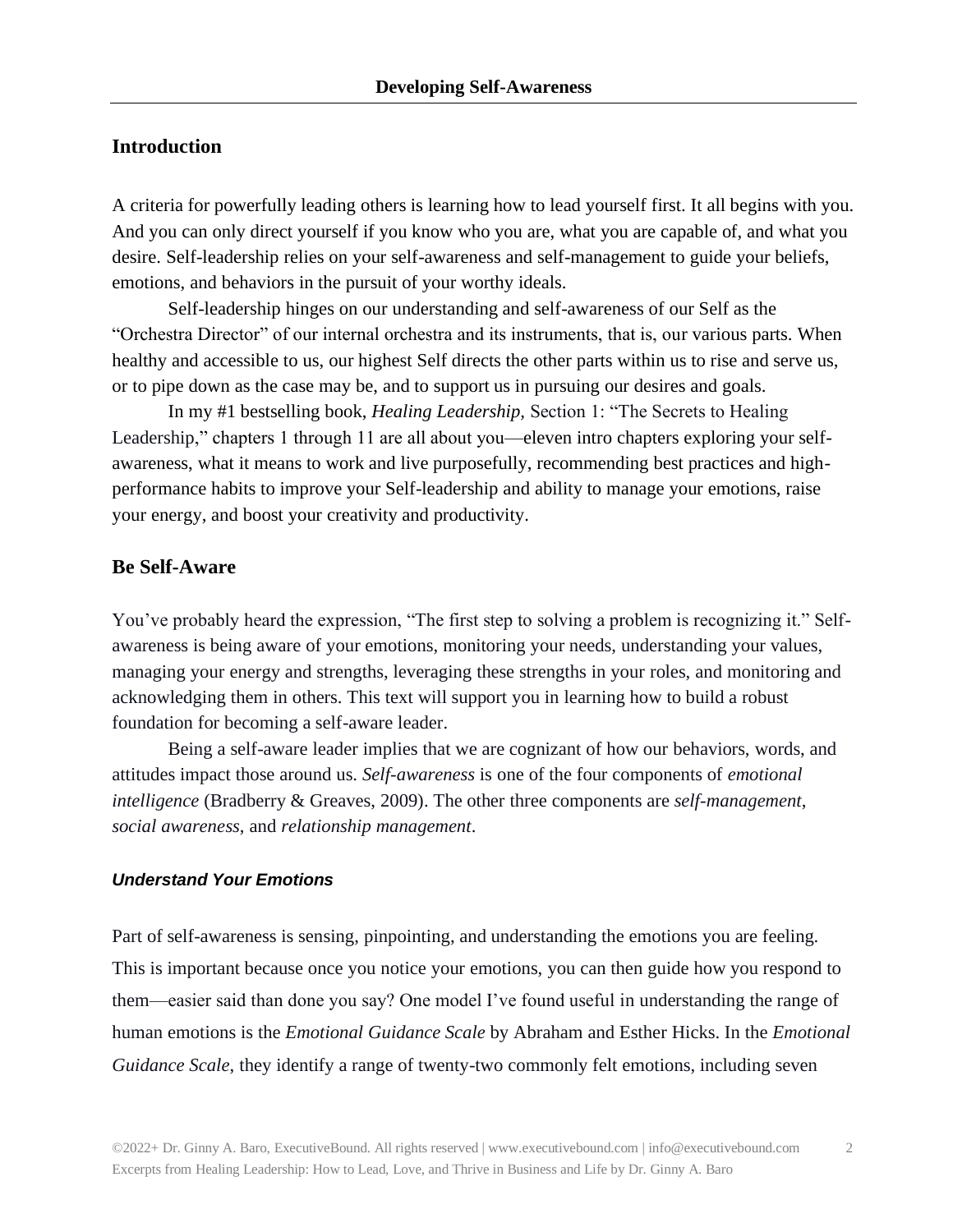## <span id="page-1-0"></span>**Introduction**

A criteria for powerfully leading others is learning how to lead yourself first. It all begins with you. And you can only direct yourself if you know who you are, what you are capable of, and what you desire. Self-leadership relies on your self-awareness and self-management to guide your beliefs, emotions, and behaviors in the pursuit of your worthy ideals.

Self-leadership hinges on our understanding and self-awareness of our Self as the "Orchestra Director" of our internal orchestra and its instruments, that is, our various parts. When healthy and accessible to us, our highest Self directs the other parts within us to rise and serve us, or to pipe down as the case may be, and to support us in pursuing our desires and goals.

In my #1 bestselling book, *Healing Leadership,* Section 1: "The Secrets to Healing Leadership," chapters 1 through 11 are all about you—eleven intro chapters exploring your selfawareness, what it means to work and live purposefully, recommending best practices and highperformance habits to improve your Self-leadership and ability to manage your emotions, raise your energy, and boost your creativity and productivity.

## <span id="page-1-1"></span>**Be Self-Aware**

You've probably heard the expression, "The first step to solving a problem is recognizing it." Selfawareness is being aware of your emotions, monitoring your needs, understanding your values, managing your energy and strengths, leveraging these strengths in your roles, and monitoring and acknowledging them in others. This text will support you in learning how to build a robust foundation for becoming a self-aware leader.

Being a self-aware leader implies that we are cognizant of how our behaviors, words, and attitudes impact those around us. *Self-awareness* is one of the four components of *emotional intelligence* (Bradberry & Greaves, 2009). The other three components are *self-management*, *social awareness*, and *relationship management*.

#### <span id="page-1-2"></span>*Understand Your Emotions*

Part of self-awareness is sensing, pinpointing, and understanding the emotions you are feeling. This is important because once you notice your emotions, you can then guide how you respond to them—easier said than done you say? One model I've found useful in understanding the range of human emotions is the *Emotional Guidance Scale* by Abraham and Esther Hicks. In the *Emotional Guidance Scale*, they identify a range of twenty-two commonly felt emotions, including seven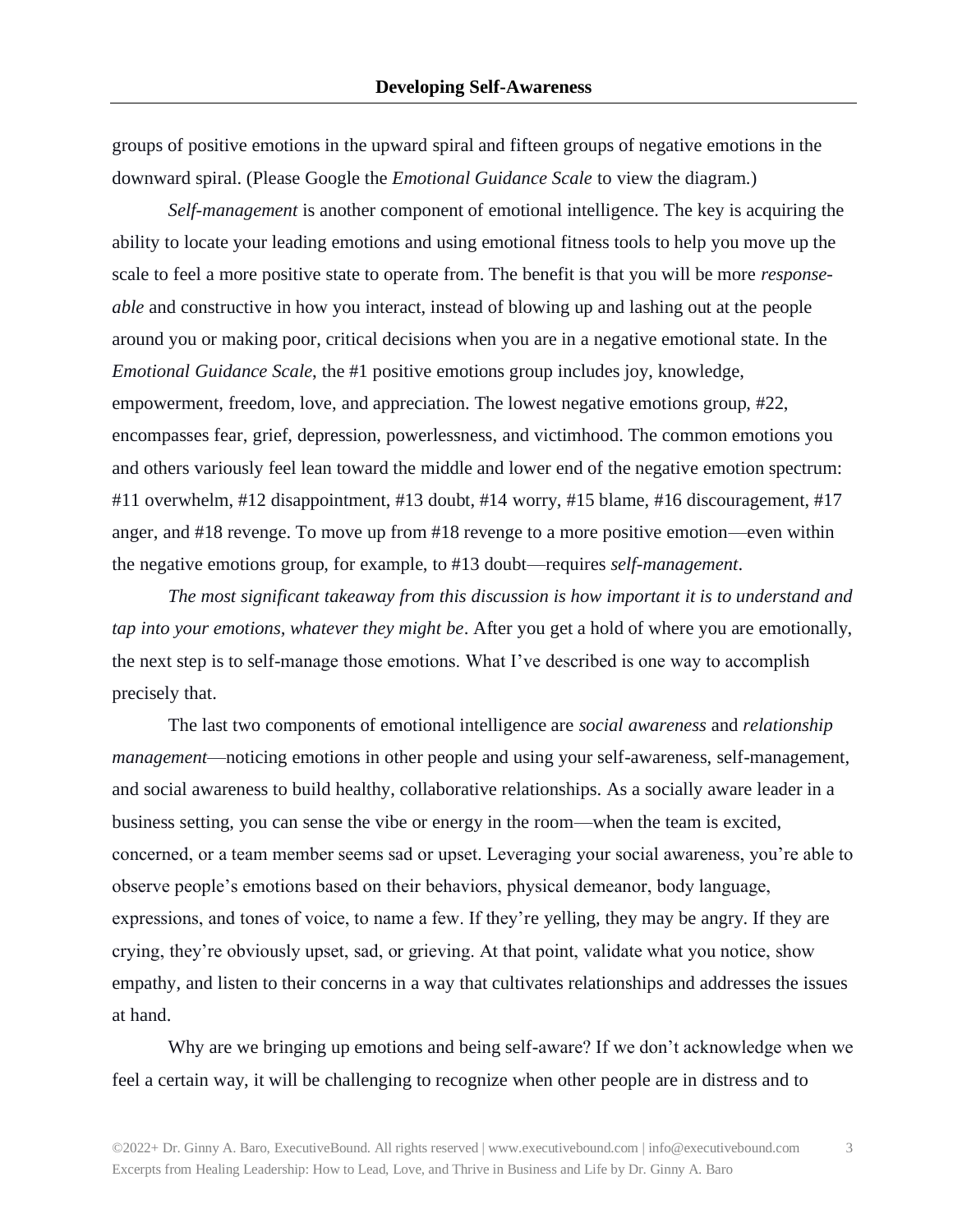groups of positive emotions in the upward spiral and fifteen groups of negative emotions in the downward spiral. (Please Google the *Emotional Guidance Scale* to view the diagram.)

*Self-management* is another component of emotional intelligence. The key is acquiring the ability to locate your leading emotions and using emotional fitness tools to help you move up the scale to feel a more positive state to operate from. The benefit is that you will be more *responseable* and constructive in how you interact, instead of blowing up and lashing out at the people around you or making poor, critical decisions when you are in a negative emotional state. In the *Emotional Guidance Scale*, the #1 positive emotions group includes joy, knowledge, empowerment, freedom, love, and appreciation. The lowest negative emotions group, #22, encompasses fear, grief, depression, powerlessness, and victimhood. The common emotions you and others variously feel lean toward the middle and lower end of the negative emotion spectrum: #11 overwhelm, #12 disappointment, #13 doubt, #14 worry, #15 blame, #16 discouragement, #17 anger, and #18 revenge. To move up from #18 revenge to a more positive emotion—even within the negative emotions group, for example, to #13 doubt—requires *self-management*.

*The most significant takeaway from this discussion is how important it is to understand and tap into your emotions, whatever they might be*. After you get a hold of where you are emotionally, the next step is to self-manage those emotions. What I've described is one way to accomplish precisely that.

The last two components of emotional intelligence are *social awareness* and *relationship management*—noticing emotions in other people and using your self-awareness, self-management, and social awareness to build healthy, collaborative relationships. As a socially aware leader in a business setting, you can sense the vibe or energy in the room—when the team is excited, concerned, or a team member seems sad or upset. Leveraging your social awareness, you're able to observe people's emotions based on their behaviors, physical demeanor, body language, expressions, and tones of voice, to name a few. If they're yelling, they may be angry. If they are crying, they're obviously upset, sad, or grieving. At that point, validate what you notice, show empathy, and listen to their concerns in a way that cultivates relationships and addresses the issues at hand.

Why are we bringing up emotions and being self-aware? If we don't acknowledge when we feel a certain way, it will be challenging to recognize when other people are in distress and to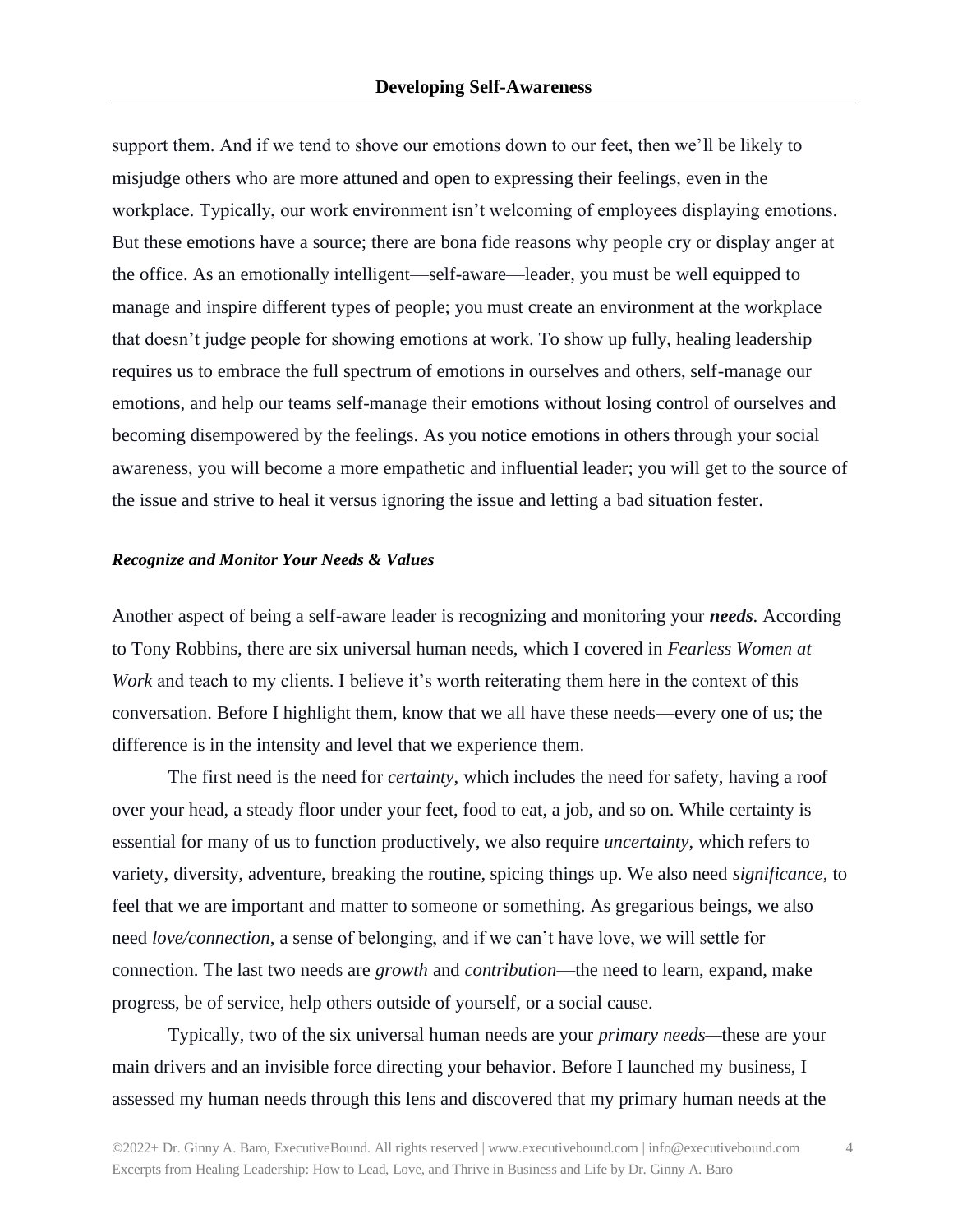support them. And if we tend to shove our emotions down to our feet, then we'll be likely to misjudge others who are more attuned and open to expressing their feelings, even in the workplace. Typically, our work environment isn't welcoming of employees displaying emotions. But these emotions have a source; there are bona fide reasons why people cry or display anger at the office. As an emotionally intelligent—self-aware—leader, you must be well equipped to manage and inspire different types of people; you must create an environment at the workplace that doesn't judge people for showing emotions at work. To show up fully, healing leadership requires us to embrace the full spectrum of emotions in ourselves and others, self-manage our emotions, and help our teams self-manage their emotions without losing control of ourselves and becoming disempowered by the feelings. As you notice emotions in others through your social awareness, you will become a more empathetic and influential leader; you will get to the source of the issue and strive to heal it versus ignoring the issue and letting a bad situation fester.

#### <span id="page-3-0"></span>*Recognize and Monitor Your Needs & Values*

Another aspect of being a self-aware leader is recognizing and monitoring your *needs*. According to Tony Robbins, there are six universal human needs, which I covered in *Fearless Women at Work* and teach to my clients. I believe it's worth reiterating them here in the context of this conversation. Before I highlight them, know that we all have these needs—every one of us; the difference is in the intensity and level that we experience them.

The first need is the need for *certainty*, which includes the need for safety, having a roof over your head, a steady floor under your feet, food to eat, a job, and so on. While certainty is essential for many of us to function productively, we also require *uncertainty*, which refers to variety, diversity, adventure, breaking the routine, spicing things up. We also need *significance*, to feel that we are important and matter to someone or something. As gregarious beings, we also need *love/connection*, a sense of belonging, and if we can't have love, we will settle for connection. The last two needs are *growth* and *contribution*—the need to learn, expand, make progress, be of service, help others outside of yourself, or a social cause.

Typically, two of the six universal human needs are your *primary needs—*these are your main drivers and an invisible force directing your behavior. Before I launched my business, I assessed my human needs through this lens and discovered that my primary human needs at the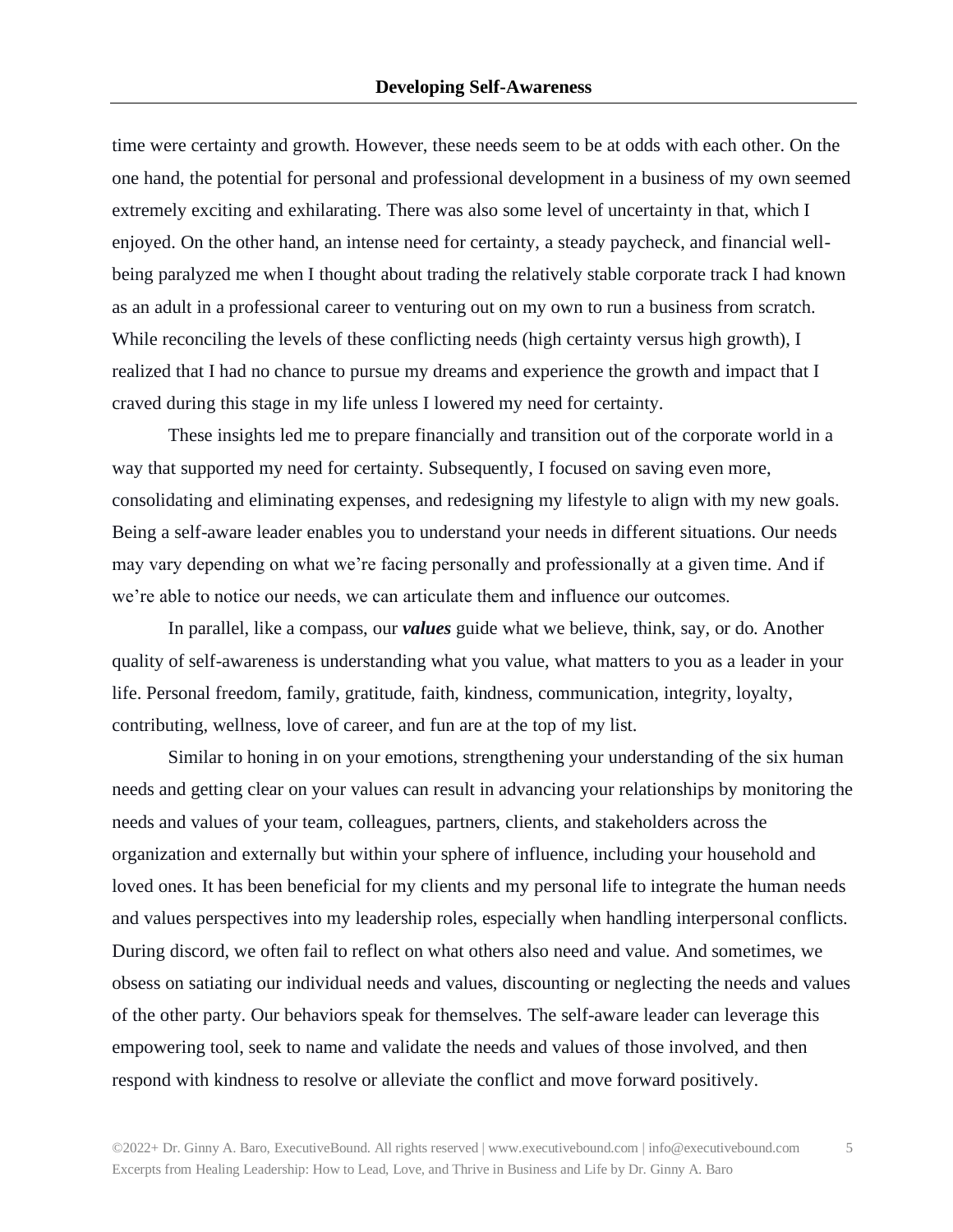time were certainty and growth. However, these needs seem to be at odds with each other. On the one hand, the potential for personal and professional development in a business of my own seemed extremely exciting and exhilarating. There was also some level of uncertainty in that, which I enjoyed. On the other hand, an intense need for certainty, a steady paycheck, and financial wellbeing paralyzed me when I thought about trading the relatively stable corporate track I had known as an adult in a professional career to venturing out on my own to run a business from scratch. While reconciling the levels of these conflicting needs (high certainty versus high growth), I realized that I had no chance to pursue my dreams and experience the growth and impact that I craved during this stage in my life unless I lowered my need for certainty.

These insights led me to prepare financially and transition out of the corporate world in a way that supported my need for certainty. Subsequently, I focused on saving even more, consolidating and eliminating expenses, and redesigning my lifestyle to align with my new goals. Being a self-aware leader enables you to understand your needs in different situations. Our needs may vary depending on what we're facing personally and professionally at a given time. And if we're able to notice our needs, we can articulate them and influence our outcomes.

In parallel, like a compass, our *values* guide what we believe, think, say, or do. Another quality of self-awareness is understanding what you value, what matters to you as a leader in your life. Personal freedom, family, gratitude, faith, kindness, communication, integrity, loyalty, contributing, wellness, love of career, and fun are at the top of my list.

Similar to honing in on your emotions, strengthening your understanding of the six human needs and getting clear on your values can result in advancing your relationships by monitoring the needs and values of your team, colleagues, partners, clients, and stakeholders across the organization and externally but within your sphere of influence, including your household and loved ones. It has been beneficial for my clients and my personal life to integrate the human needs and values perspectives into my leadership roles, especially when handling interpersonal conflicts. During discord, we often fail to reflect on what others also need and value. And sometimes, we obsess on satiating our individual needs and values, discounting or neglecting the needs and values of the other party. Our behaviors speak for themselves. The self-aware leader can leverage this empowering tool, seek to name and validate the needs and values of those involved, and then respond with kindness to resolve or alleviate the conflict and move forward positively.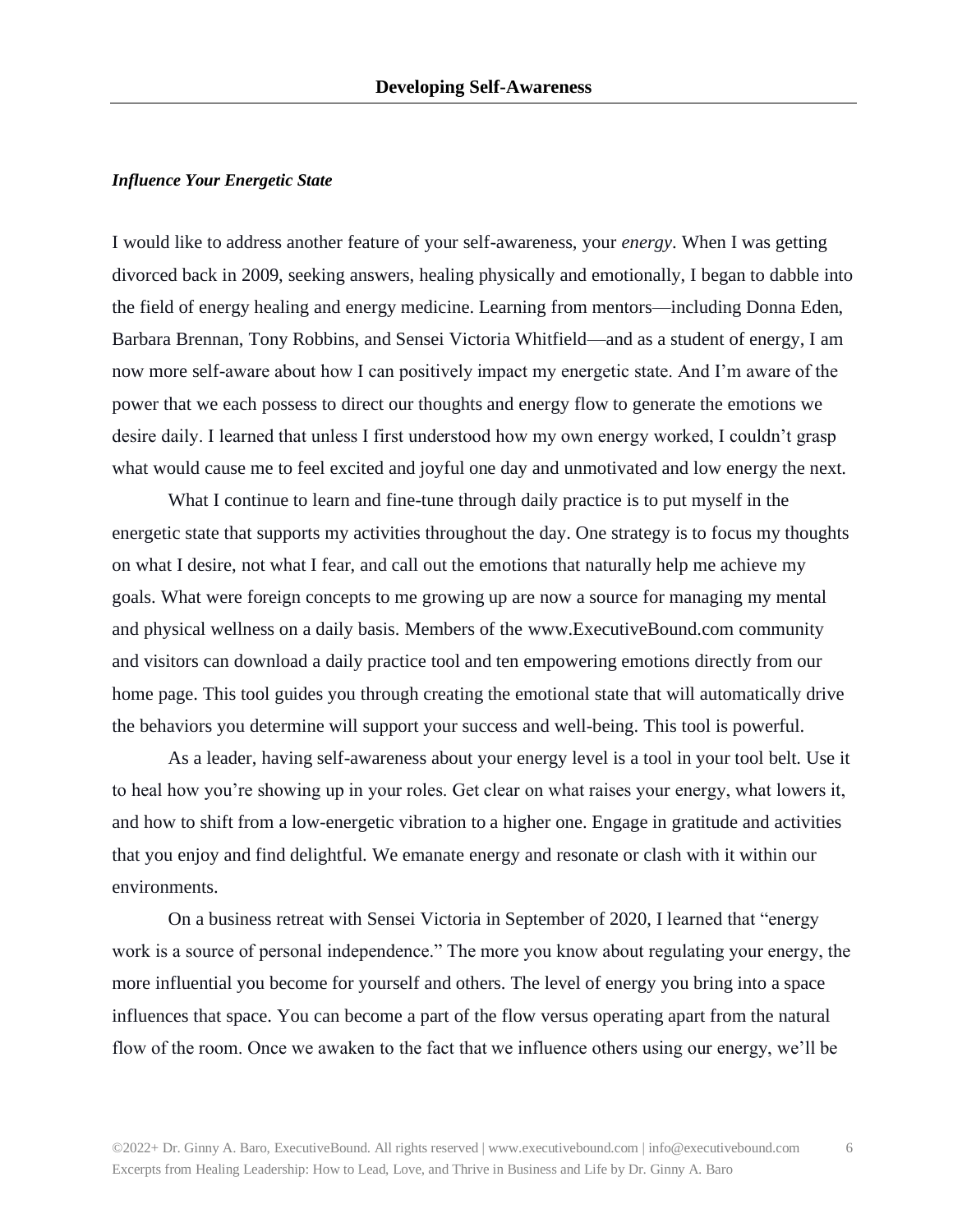#### <span id="page-5-0"></span>*Influence Your Energetic State*

I would like to address another feature of your self-awareness, your *energy*. When I was getting divorced back in 2009, seeking answers, healing physically and emotionally, I began to dabble into the field of energy healing and energy medicine. Learning from mentors—including Donna Eden, Barbara Brennan, Tony Robbins, and Sensei Victoria Whitfield—and as a student of energy, I am now more self-aware about how I can positively impact my energetic state. And I'm aware of the power that we each possess to direct our thoughts and energy flow to generate the emotions we desire daily. I learned that unless I first understood how my own energy worked, I couldn't grasp what would cause me to feel excited and joyful one day and unmotivated and low energy the next.

What I continue to learn and fine-tune through daily practice is to put myself in the energetic state that supports my activities throughout the day. One strategy is to focus my thoughts on what I desire, not what I fear, and call out the emotions that naturally help me achieve my goals. What were foreign concepts to me growing up are now a source for managing my mental and physical wellness on a daily basis. Members of the [www.ExecutiveBound.com](http://www.executivebound.com/) community and visitors can download a daily practice tool and ten empowering emotions directly from our home page. This tool guides you through creating the emotional state that will automatically drive the behaviors you determine will support your success and well-being. This tool is powerful.

As a leader, having self-awareness about your energy level is a tool in your tool belt. Use it to heal how you're showing up in your roles. Get clear on what raises your energy, what lowers it, and how to shift from a low-energetic vibration to a higher one. Engage in gratitude and activities that you enjoy and find delightful. We emanate energy and resonate or clash with it within our environments.

On a business retreat with Sensei Victoria in September of 2020, I learned that "energy work is a source of personal independence." The more you know about regulating your energy, the more influential you become for yourself and others. The level of energy you bring into a space influences that space. You can become a part of the flow versus operating apart from the natural flow of the room. Once we awaken to the fact that we influence others using our energy, we'll be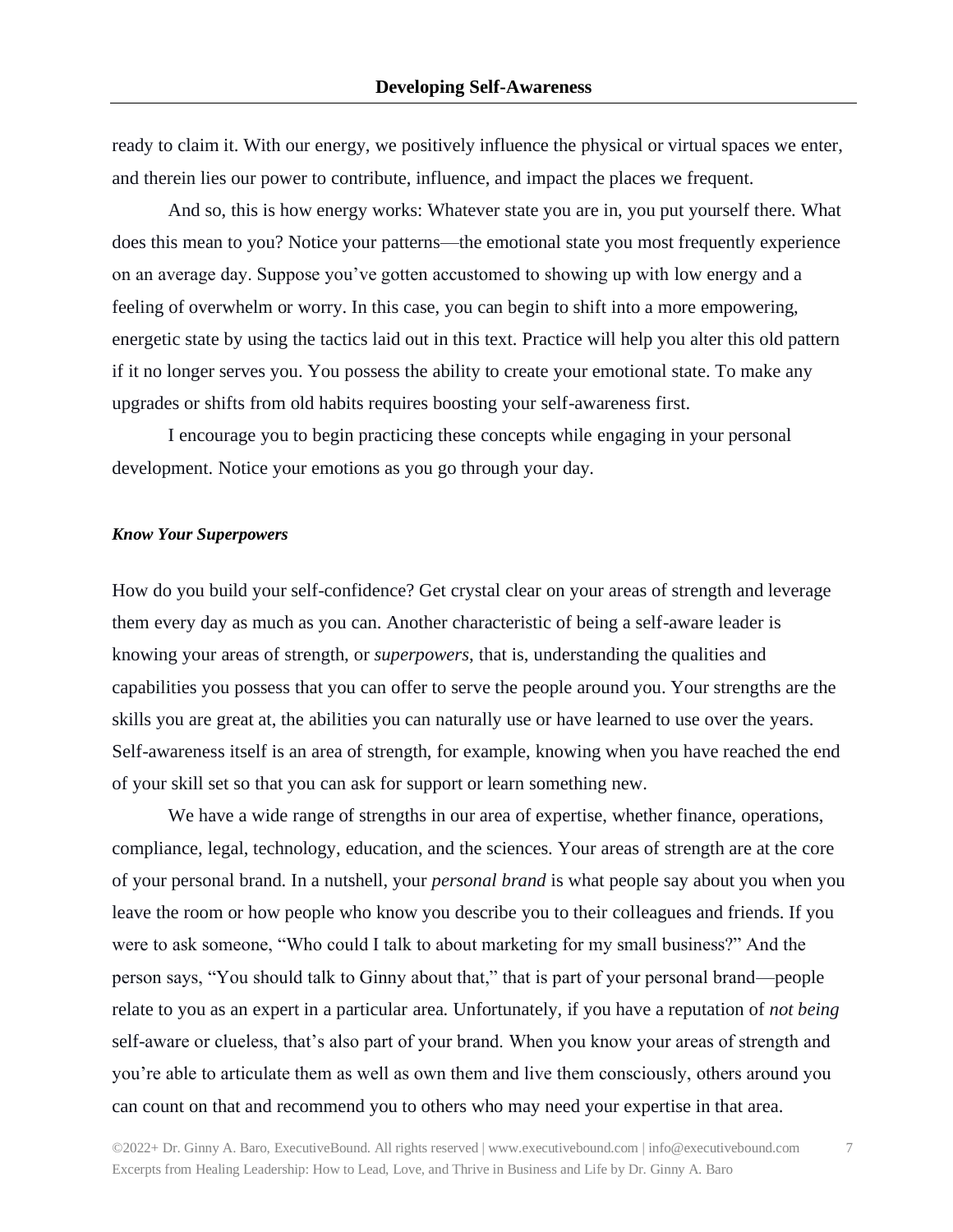ready to claim it. With our energy, we positively influence the physical or virtual spaces we enter, and therein lies our power to contribute, influence, and impact the places we frequent.

And so, this is how energy works: Whatever state you are in, you put yourself there. What does this mean to you? Notice your patterns—the emotional state you most frequently experience on an average day. Suppose you've gotten accustomed to showing up with low energy and a feeling of overwhelm or worry. In this case, you can begin to shift into a more empowering, energetic state by using the tactics laid out in this text. Practice will help you alter this old pattern if it no longer serves you. You possess the ability to create your emotional state. To make any upgrades or shifts from old habits requires boosting your self-awareness first.

I encourage you to begin practicing these concepts while engaging in your personal development. Notice your emotions as you go through your day.

#### <span id="page-6-0"></span>*Know Your Superpowers*

How do you build your self-confidence? Get crystal clear on your areas of strength and leverage them every day as much as you can. Another characteristic of being a self-aware leader is knowing your areas of strength, or *superpowers*, that is, understanding the qualities and capabilities you possess that you can offer to serve the people around you. Your strengths are the skills you are great at, the abilities you can naturally use or have learned to use over the years. Self-awareness itself is an area of strength, for example, knowing when you have reached the end of your skill set so that you can ask for support or learn something new.

We have a wide range of strengths in our area of expertise, whether finance, operations, compliance, legal, technology, education, and the sciences. Your areas of strength are at the core of your personal brand. In a nutshell, your *personal brand* is what people say about you when you leave the room or how people who know you describe you to their colleagues and friends. If you were to ask someone, "Who could I talk to about marketing for my small business?" And the person says, "You should talk to Ginny about that," that is part of your personal brand—people relate to you as an expert in a particular area. Unfortunately, if you have a reputation of *not being* self-aware or clueless, that's also part of your brand. When you know your areas of strength and you're able to articulate them as well as own them and live them consciously, others around you can count on that and recommend you to others who may need your expertise in that area.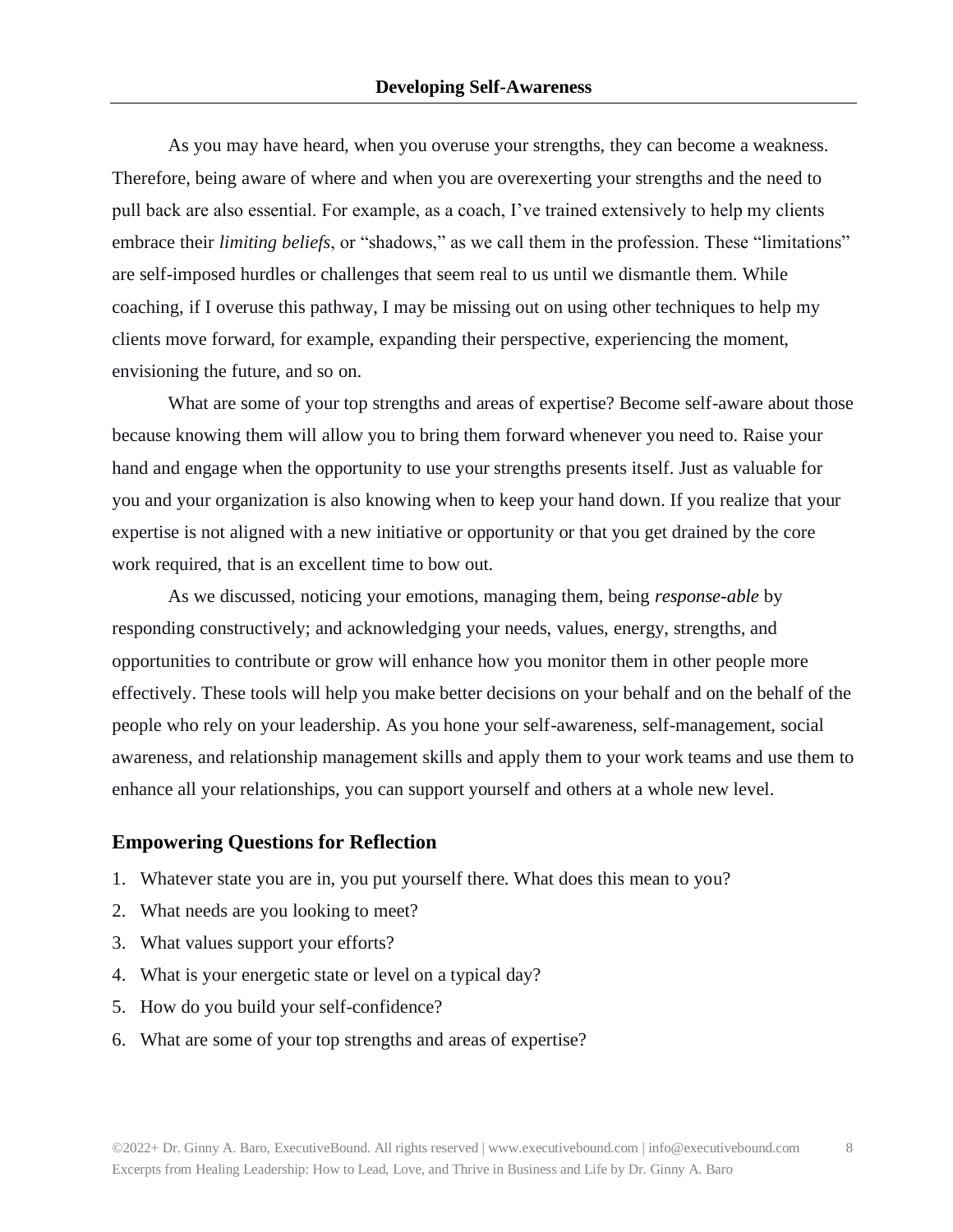As you may have heard, when you overuse your strengths, they can become a weakness. Therefore, being aware of where and when you are overexerting your strengths and the need to pull back are also essential. For example, as a coach, I've trained extensively to help my clients embrace their *limiting beliefs*, or "shadows," as we call them in the profession. These "limitations" are self-imposed hurdles or challenges that seem real to us until we dismantle them. While coaching, if I overuse this pathway, I may be missing out on using other techniques to help my clients move forward, for example, expanding their perspective, experiencing the moment, envisioning the future, and so on.

What are some of your top strengths and areas of expertise? Become self-aware about those because knowing them will allow you to bring them forward whenever you need to. Raise your hand and engage when the opportunity to use your strengths presents itself. Just as valuable for you and your organization is also knowing when to keep your hand down. If you realize that your expertise is not aligned with a new initiative or opportunity or that you get drained by the core work required, that is an excellent time to bow out.

As we discussed, noticing your emotions, managing them, being *response-able* by responding constructively; and acknowledging your needs, values, energy, strengths, and opportunities to contribute or grow will enhance how you monitor them in other people more effectively. These tools will help you make better decisions on your behalf and on the behalf of the people who rely on your leadership. As you hone your self-awareness, self-management, social awareness, and relationship management skills and apply them to your work teams and use them to enhance all your relationships, you can support yourself and others at a whole new level.

## <span id="page-7-0"></span>**Empowering Questions for Reflection**

- 1. Whatever state you are in, you put yourself there. What does this mean to you?
- 2. What needs are you looking to meet?
- 3. What values support your efforts?
- 4. What is your energetic state or level on a typical day?
- 5. How do you build your self-confidence?
- 6. What are some of your top strengths and areas of expertise?